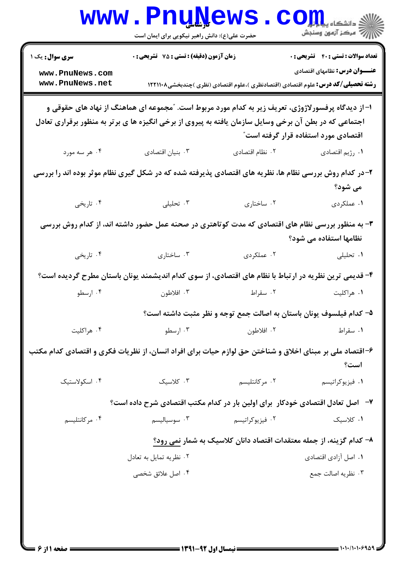| <b>سری سوال :</b> یک ۱                                                                                                                                                                                                                               | زمان آزمون (دقیقه) : تستی : 75 گشریحی : 0                                                             |                                                                                          | <b>تعداد سوالات : تستي : 40 ٪ تشريحي : 0</b> |  |
|------------------------------------------------------------------------------------------------------------------------------------------------------------------------------------------------------------------------------------------------------|-------------------------------------------------------------------------------------------------------|------------------------------------------------------------------------------------------|----------------------------------------------|--|
| www.PnuNews.com<br>www.PnuNews.net                                                                                                                                                                                                                   |                                                                                                       | <b>رشته تحصیلی/کد درس:</b> علوم اقتصادی (اقتصادنظری )،علوم اقتصادی (نظری )چندبخشی۱۲۲۱۱۰۸ | <b>عنـــوان درس:</b> نظامهای اقتصادی         |  |
| ا– از دیدگاه پرفسورلاژوژی، تعریف زیر به کدام مورد مربوط است. ″مجموعه ای هماهنگ از نهاد های حقوقی و<br>اجتماعی که در بطن آن برخی وسایل سازمان یافته به پیروی از برخی انگیزه ها ی برتر به منظور برقراری تعادل<br>اقتصادی مورد استفاده قرار گرفته است ؒ |                                                                                                       |                                                                                          |                                              |  |
| ۰۴ هر سه مورد                                                                                                                                                                                                                                        | ۰۳ بنیان اقتصادی                                                                                      | ۰۲ نظام اقتصادی                                                                          | ۰۱ رژیم اقتصادی                              |  |
| ۲- در کدام روش بررسی نظام ها، نظریه های اقتصادی پذیرفته شده که در شکل گیری نظام موثر بوده اند را بررسی<br>می شود؟                                                                                                                                    |                                                                                                       |                                                                                          |                                              |  |
| ۰۴ تاریخی                                                                                                                                                                                                                                            | ۰۳ تحلیلی                                                                                             | ۰۲ ساختاری                                                                               | ۰۱ عملکردی                                   |  |
|                                                                                                                                                                                                                                                      | ۳- به منظور بررسی نظام های اقتصادی که مدت کوتاهتری در صحنه عمل حضور داشته اند، از کدام روش بررسی      |                                                                                          | نظامها استفاده می شود؟                       |  |
| ۰۴ تاریخی                                                                                                                                                                                                                                            | ۰۳ ساختاری                                                                                            | ۰۲ عملکردی                                                                               | ۰۱ تحلیلی                                    |  |
|                                                                                                                                                                                                                                                      | ۴- قدیمی ترین نظریه در ارتباط با نظام های اقتصادی، از سوی کدام اندیشمند یونان باستان مطرح گردیده است؟ |                                                                                          |                                              |  |
| ۰۴ ارسطو                                                                                                                                                                                                                                             | ۰۳ افلاطون                                                                                            | ۰۲ سقراط                                                                                 | ۰۱ هراکلیت                                   |  |
|                                                                                                                                                                                                                                                      |                                                                                                       | ۵– کدام فیلسوف یونان باستان به اصالت جمع توجه و نظر مثبت داشته است؟                      |                                              |  |
| ۰۴ هراکليت                                                                                                                                                                                                                                           | ۰۳ ارسطو                                                                                              | ۰۲ افلاطون                                                                               | ٠١ سقراط                                     |  |
| ۶–اقتصاد ملی بر مبنای اخلاق و شناختن حق لوازم حیات برای افراد انسان، از نظریات فکری و اقتصادی کدام مکتب<br>است؟                                                                                                                                      |                                                                                                       |                                                                                          |                                              |  |
| ۰۴ اسکولاستیک                                                                                                                                                                                                                                        | ۰۳ کلاسیک                                                                                             | ۰۲ مرکانتلیسم                                                                            | ۰۱ فیزیوکراتیسم                              |  |
|                                                                                                                                                                                                                                                      | ۷- اصل تعادل اقتصادی خودکار  برای اولین بار در کدام مکتب اقتصادی شرح داده است؟                        |                                                                                          |                                              |  |
| ۰۴ مرکانتلیسم                                                                                                                                                                                                                                        | ۰۳ سوسیالیسم                                                                                          | ۰۲ فیزیوکراتیسم                                                                          | ٠١ كلاسيك                                    |  |
|                                                                                                                                                                                                                                                      |                                                                                                       | ۸– کدام گزینه، از جمله معتقدات اقتصاد دانان کلاسیک به شمار نمی رود؟                      |                                              |  |
|                                                                                                                                                                                                                                                      | ۰۲ نظریه تمایل به تعادل                                                                               |                                                                                          | ۰۱ اصل آزادی اقتصادی                         |  |
|                                                                                                                                                                                                                                                      | ۰۴ اصل علائق شخصی                                                                                     |                                                                                          | ۰۳ نظریه اصالت جمع                           |  |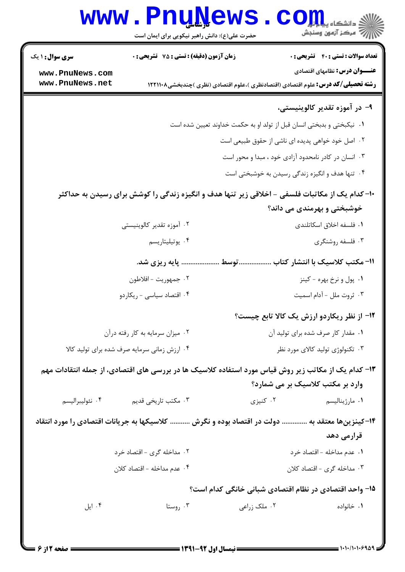|                                    | www.PnuNews                                                                                    |              | ان دانشگاه پیاه <mark>برای</mark><br>ان مرکز آزمون وسنجش                                                                         |
|------------------------------------|------------------------------------------------------------------------------------------------|--------------|----------------------------------------------------------------------------------------------------------------------------------|
|                                    | حضرت علی(ع): دانش راهبر نیکویی برای ایمان است                                                  |              |                                                                                                                                  |
| <b>سری سوال : ۱ یک</b>             | زمان آزمون (دقیقه) : تستی : 75 ٪ تشریحی : 0                                                    |              | <b>تعداد سوالات : تستی : 40 قشریحی : 0</b>                                                                                       |
| www.PnuNews.com<br>www.PnuNews.net |                                                                                                |              | <b>عنـــوان درس:</b> نظامهای اقتصادی<br><b>رشته تحصیلی/کد درس:</b> علوم اقتصادی (اقتصادنظری )،علوم اقتصادی (نظری )چندبخشی۱۲۲۱۱۰۸ |
|                                    |                                                                                                |              |                                                                                                                                  |
|                                    |                                                                                                |              | ۹- در آموزه تقدیر کالوینیستی،                                                                                                    |
|                                    |                                                                                                |              | ٠١ نيكبختي و بدبختي انسان قبل از تولد او به حكمت خداوند تعيين شده است                                                            |
|                                    |                                                                                                |              | ۰۲ اصل خود خواهی پدیده ای ناشی از حقوق طبیعی است<br>۰۳ انسان در کادر نامحدود آزادی خود ، مبدا و محور است                         |
|                                    |                                                                                                |              |                                                                                                                                  |
|                                    |                                                                                                |              | ۰۴ تنها هدف و انگیزه زندگی رسیدن به خوشبختی است                                                                                  |
|                                    | +۱- کدام یک از مکاتبات فلسفی – اخلاقی زیر تنها هدف و انگیزه زندگی را کوشش برای رسیدن به حداکثر |              |                                                                                                                                  |
|                                    |                                                                                                |              | خوشبختی و بهرمندی می داند؟                                                                                                       |
|                                    | ۰۲ آموزه تقدیر کالوینیستی                                                                      |              | ٠١ فلسفه اخلاق اسكاتلندى                                                                                                         |
|                                    | ۰۴ يوتيليتاريسم                                                                                |              | ۰۳ فلسفه روشنگری                                                                                                                 |
|                                    | پایه ریزی شد.                                                                                  | توسط         | 1۱– مکتب کلاسیک با انتشار کتاب                                                                                                   |
|                                    | ۰۲ جمهوريت - افلاطون                                                                           |              | ۰۱ پول و نرخ بهره - کینز                                                                                                         |
|                                    | ۰۴ اقتصاد سیاسی - ریکاردو                                                                      |              | ۰۳ ثروت ملل - آدام اسمیت                                                                                                         |
|                                    |                                                                                                |              | ۱۲- از نظر ریکاردو ارزش یک کالا تابع چیست؟                                                                                       |
|                                    | ۰۲ میزان سرمایه به کار رفته درآن                                                               |              | ۰۱ مقدار کار صرف شده برای تولید آن                                                                                               |
|                                    | ۰۴ ارزش زمانی سرمایه صرف شده برای تولید کالا                                                   |              | ۰۳ تکنولوژی تولید کالای مورد نظر                                                                                                 |
|                                    |                                                                                                |              | ۱۳- کدام یک از مکاتب زیر روش قیاس مورد استفاده کلاسیک ها در بررسی های اقتصادی، از جمله انتقادات مهم                              |
|                                    |                                                                                                |              | وارد بر مکتب کلاسیک بر می شمارد؟                                                                                                 |
| ۰۴ نئوليبراليسم                    | ۰۳ مکتب تاریخی قدیم                                                                            | ۰۲ کنیزی     | ۰۱ مارژینالیسم                                                                                                                   |
|                                    |                                                                                                |              | ۱۴–کینزینها معتقد به  دولت در اقتصاد بوده و نگرش  کلاسیکها به جریانات اقتصادی را مورد انتقاد                                     |
|                                    |                                                                                                |              | قرارمی دهد                                                                                                                       |
|                                    | ۲. مداخله گری - اقتصاد خرد                                                                     |              | ٠١ عدم مداخله - اقتصاد خرد                                                                                                       |
|                                    | ۰۴ عدم مداخله - اقتصاد کلان                                                                    |              | ۰۳ مداخله گری - اقتصاد کلان                                                                                                      |
|                                    |                                                                                                |              | ۱۵- واحد اقتصادی در نظام اقتصادی شبانی خانگی کدام است؟                                                                           |
| ۰۴ ایل                             | ۰۳ روستا                                                                                       | ۰۲ ملک زراعی | ۰۱ خانواده                                                                                                                       |
|                                    |                                                                                                |              |                                                                                                                                  |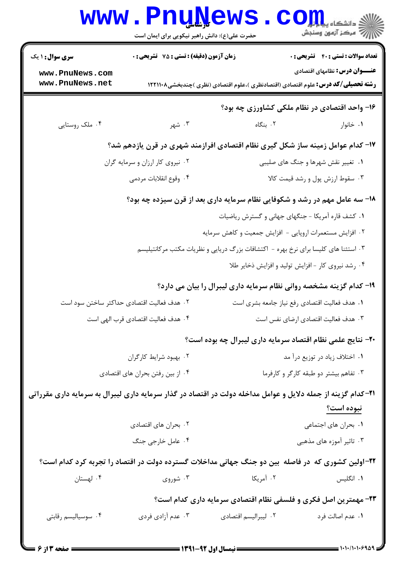|                                                                                                             | www.PnuNews<br>حضرت علی(ع): دانش راهبر نیکویی برای ایمان است                                                |                                                                 | الی دانشکاه پیام ایران<br>اراج مرکز آزمون وسنجش                                      |
|-------------------------------------------------------------------------------------------------------------|-------------------------------------------------------------------------------------------------------------|-----------------------------------------------------------------|--------------------------------------------------------------------------------------|
| <b>سری سوال : ۱ یک</b><br>www.PnuNews.com                                                                   | زمان آزمون (دقیقه) : تستی : 75 ٪ تشریحی : 0                                                                 |                                                                 | <b>تعداد سوالات : تستی : 40 - تشریحی : 0</b><br><b>عنـــوان درس:</b> نظامهای اقتصادی |
|                                                                                                             | www.PnuNews.net<br><b>رشته تحصیلی/کد درس:</b> علوم اقتصادی (اقتصادنظری )،علوم اقتصادی (نظری )چندبخشی۱۲۲۱۱۰۸ |                                                                 |                                                                                      |
|                                                                                                             |                                                                                                             |                                                                 | ۱۶- واحد اقتصادی در نظام ملکی کشاورزی چه بود؟                                        |
| ۰۴ ملک روستایی                                                                                              | ۰۳ شهر                                                                                                      | ۰۲ بنگاه                                                        | ۰۱ خانوار                                                                            |
| ۱۷– کدام عوامل زمینه ساز شکل گیری نظام اقتصادی افرازمند شهری در قرن یازدهم شد؟                              |                                                                                                             |                                                                 |                                                                                      |
| ۰۱ تغییر نقش شهرها و جنگ های صلیبی<br>۰۲ نیروی کار ارزان و سرمایه گران                                      |                                                                                                             |                                                                 |                                                                                      |
|                                                                                                             | ۰۴ وقوع انقلابات مردمي                                                                                      |                                                                 | ۰۳ سقوط ارزش پول و رشد قیمت کالا                                                     |
| 18- سه عامل مهم در رشد و شکوفایی نظام سرمایه داری بعد از قرن سیزده چه بود؟                                  |                                                                                                             |                                                                 |                                                                                      |
| ٠١ كشف قاره آمريكا - جنگهاى جهانى و گسترش رياضيات                                                           |                                                                                                             |                                                                 |                                                                                      |
|                                                                                                             |                                                                                                             | ۰۲ افزایش مستعمرات اروپایی - افزایش جمعیت و کاهش سرمایه         |                                                                                      |
| ۰۳ استثنا های کلیسا برای نرخ بهره - اکتشافات بزرگ دریایی و نظریات مکتب مرکانتیلیسم                          |                                                                                                             |                                                                 |                                                                                      |
|                                                                                                             |                                                                                                             | ۰۴ رشد نیروی کار - افزایش تولید و افزایش ذخایر طلا              |                                                                                      |
|                                                                                                             | ۱۹- کدام گزینه مشخصه روانی نظام سرمایه داری لیبرال را بیان می دارد؟                                         |                                                                 |                                                                                      |
|                                                                                                             | ۰۲ هدف فعالیت اقتصادی حداکثر ساختن سود است                                                                  |                                                                 | ٠١ هدف فعاليت اقتصادي رفع نياز جامعه بشرى است                                        |
| ۰۴ هدف فعاليت اقتصادي قرب الهي است<br>۰۳ هدف فعالیت اقتصادی ارضای نفس است                                   |                                                                                                             |                                                                 |                                                                                      |
| ۲۰- نتایج علمی نظام اقتصاد سرمایه داری لیبرال چه بوده است؟                                                  |                                                                                                             |                                                                 |                                                                                      |
|                                                                                                             | ۰۲ بهبود شرایط کارگران                                                                                      |                                                                 | ۰۱ اختلاف زیاد در توزیع درآ مد                                                       |
|                                                                                                             | ۰۴ از بین رفتن بحران های اقتصادی                                                                            |                                                                 | ۰۳ تفاهم بیشتر دو طبقه کارگر و کارفرما                                               |
| ۲۱–کدام گزینه از جمله دلایل و عوامل مداخله دولت در اقتصاد در گذار سرمایه داری لیبرال به سرمایه داری مقرراتی |                                                                                                             |                                                                 |                                                                                      |
|                                                                                                             |                                                                                                             |                                                                 | نبوده است؟                                                                           |
|                                                                                                             | ۰۲ بحران های اقتصادی                                                                                        |                                                                 | ٠١. بحران هاى اجتماعى                                                                |
|                                                                                                             | ۰۴ عامل خارجي جنگ                                                                                           |                                                                 | ۰۳ تاثیر آموزه های مذهبی                                                             |
| ۲۲-اولین کشوری که در فاصله بین دو جنگ جهانی مداخلات گسترده دولت در اقتصاد را تجربه کرد کدام است؟            |                                                                                                             |                                                                 |                                                                                      |
| ۰۴ لهستان                                                                                                   | ۰۳ شوروی                                                                                                    | ۰۲ آمریکا                                                       | ۰۱ انگلیس                                                                            |
|                                                                                                             |                                                                                                             | ۲۳- مهمترین اصل فکری و فلسفی نظام اقتصادی سرمایه داری کدام است؟ |                                                                                      |
| ۰۴ سوسیالیسم رقابتی                                                                                         | ۰۳ عدم آزادي فردي                                                                                           | ٠٢ ليبراليسم اقتصادي                                            | ٠١. عدم اصالت فرد                                                                    |
|                                                                                                             |                                                                                                             |                                                                 |                                                                                      |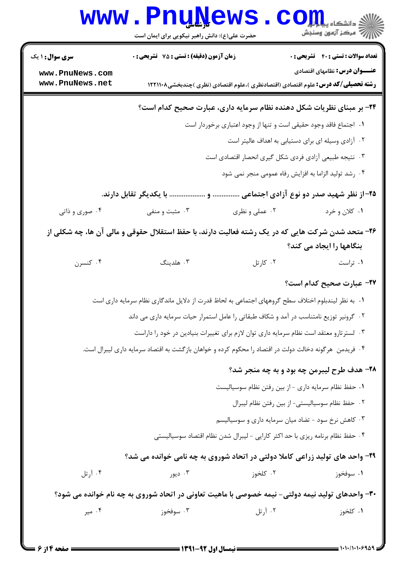|                                                                                                                              | www.PnuNews                                                                                            |                                                                                          | الاد دانشگاه پیام ایران<br>الا دانشگاه پیام ایران |
|------------------------------------------------------------------------------------------------------------------------------|--------------------------------------------------------------------------------------------------------|------------------------------------------------------------------------------------------|---------------------------------------------------|
|                                                                                                                              | حضرت علی(ع): دانش راهبر نیکویی برای ایمان است                                                          |                                                                                          |                                                   |
| <b>سری سوال : ۱ یک</b>                                                                                                       | زمان آزمون (دقیقه) : تستی : 75 آتشریحی : 0                                                             |                                                                                          | <b>تعداد سوالات : تستی : 40 - تشریحی : 0</b>      |
| www.PnuNews.com<br>www.PnuNews.net                                                                                           |                                                                                                        | <b>رشته تحصیلی/کد درس:</b> علوم اقتصادی (اقتصادنظری )،علوم اقتصادی (نظری )چندبخشی۱۲۲۱۱۰۸ | <b>عنـــوان درس:</b> نظامهای اقتصادی              |
| ۲۴- بر مبنای نظریات شکل دهنده نظام سرمایه داری، عبارت صحیح کدام است؟                                                         |                                                                                                        |                                                                                          |                                                   |
|                                                                                                                              |                                                                                                        | ۰۱ اجتماع فاقد وجود حقیقی است و تنها از وجود اعتباری برخوردار است                        |                                                   |
|                                                                                                                              |                                                                                                        | ۰۲ آزادی وسیله ای برای دستیابی به اهداف عالیتر است                                       |                                                   |
|                                                                                                                              |                                                                                                        | ۰۳ نتیجه طبیعی آزادی فردی شکل گیری انحصار اقتصادی است                                    |                                                   |
|                                                                                                                              |                                                                                                        | ۰۴ رشد تولید الزاما به افزایش رفاه عمومی منجر نمی شود                                    |                                                   |
|                                                                                                                              | با یکدیگر تقابل دارند.                                                                                 |                                                                                          | ۲۵–از نظر شهید صدر دو نوع آزادی اجتماعی           |
| ۰۴ صوري و ذاتي                                                                                                               | ۰۳ مثبت و منفی                                                                                         | ۰۲ عملي و نظري                                                                           | ۰۱ کلان و خرد                                     |
| ۲۶- متحد شدن شرکت هایی که در یک رشته فعالیت دارند، با حفظ استقلال حقوقی و مالی آن ها، چه شکلی از<br>بنگاهها را ایجاد می کند؟ |                                                                                                        |                                                                                          |                                                   |
| ۰۴ كنسرن                                                                                                                     | ۰۳ هلدینگ                                                                                              | ۰۲ کارتل                                                                                 | ۰۱ تراست                                          |
|                                                                                                                              |                                                                                                        |                                                                                          | ٢٧- عبارت صحيح كدام است؟                          |
|                                                                                                                              | ۰۱ به نظر لیندبلوم اختلاف سطح گروههای اجتماعی به لحاظ قدرت از دلایل ماندگاری نظام سرمایه داری است      |                                                                                          |                                                   |
|                                                                                                                              | ۲. گرونیر توزیع نامتناسب در آمد و شکاف طبقاتی را عامل استمرار حیات سرمایه داری می داند                 |                                                                                          |                                                   |
|                                                                                                                              |                                                                                                        | ۰۳ لسترتارو معتقد است نظام سرمایه داری توان لازم برای تغییرات بنیادین در خود را داراست   |                                                   |
|                                                                                                                              | ۰۴ فریدمن  هرگونه دخالت دولت در اقتصاد را محکوم کرده و خواهان بازگشت به اقتصاد سرمایه داری لیبرال است. |                                                                                          |                                                   |
|                                                                                                                              |                                                                                                        |                                                                                          | ۲۸- هدف طرح لیبرمن چه بود و به چه منجر شد؟        |
|                                                                                                                              |                                                                                                        | ٠١ حفظ نظام سرمايه داري - از بين رفتن نظام سوسياليست                                     |                                                   |
|                                                                                                                              |                                                                                                        |                                                                                          | ٠٢ حفظ نظام سوسياليستي- از بين رفتن نظام ليبرال   |
|                                                                                                                              |                                                                                                        | ۰۳ کاهش نرخ سود - تضاد میان سرمایه داری و سوسیالیسم                                      |                                                   |
|                                                                                                                              |                                                                                                        | ۰۴ حفظ نظام برنامه ريزي با حد اكثر كارايي - ليبرال شدن نظام اقتصاد سوسياليستي            |                                                   |
|                                                                                                                              | ۲۹- واحد های تولید زراعی کاملا دولتی در اتحاد شوروی به چه نامی خوانده می شد؟                           |                                                                                          |                                                   |
| ۰۴ آرتل                                                                                                                      | ۰۳ دیور                                                                                                | ۰۲ کلخوز                                                                                 | ۰۱ سوفخوز                                         |
|                                                                                                                              | ۳۰- واحدهای تولید نیمه دولتی- نیمه خصوصی با ماهیت تعاونی در اتحاد شوروی به چه نام خوانده می شود؟       |                                                                                          |                                                   |
| ۰۴ میر                                                                                                                       | ۰۳ سوفخوز                                                                                              | ۰۲ آرتل                                                                                  | ۰۱ کلخوز                                          |
|                                                                                                                              |                                                                                                        |                                                                                          |                                                   |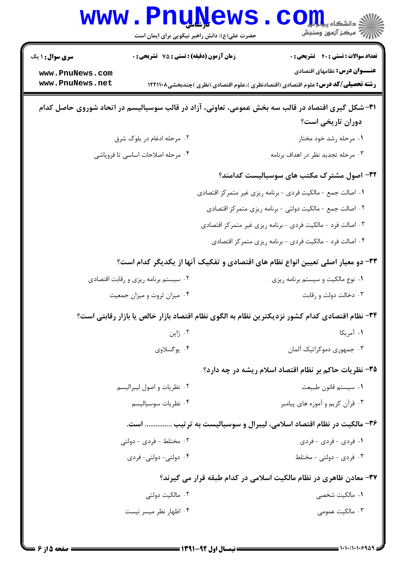| <b>WWW</b>                                                                      |                                                  | <b>TTÄTA</b><br>حضرت علی(ع): دانش راهبر نیکویی برای ایمان است | دانشگاه پ <b>یا با تو</b><br>رِ ۖ مرڪز آزمون وسنڊش                                                                                                                               |
|---------------------------------------------------------------------------------|--------------------------------------------------|---------------------------------------------------------------|----------------------------------------------------------------------------------------------------------------------------------------------------------------------------------|
| <b>سری سوال : ۱ یک</b><br>www.PnuNews.com<br>www.PnuNews.net                    | <b>زمان آزمون (دقیقه) : تستی : 75 تشریحی : 0</b> |                                                               | <b>تعداد سوالات : تستی : 40 - تشریحی : 0</b><br><b>عنـــوان درس:</b> نظامهای اقتصادی<br><b>رشته تحصیلی/کد درس:</b> علوم اقتصادی (اقتصادنظری )،علوم اقتصادی (نظری )چندبخشی۱۲۲۱۱۰۸ |
|                                                                                 |                                                  |                                                               | ۳۱–شکل گیری اقتصاد در قالب سه بخش عمومی، تعاونی، آزاد در قالب سوسیالیسم در اتحاد شوروی حاصل کدام<br>دوران تاریخی است؟                                                            |
|                                                                                 | ۰۲ مرحله ادغام در بلوک شرق                       |                                                               | ۰۱ مرحله رشد خود مختار                                                                                                                                                           |
|                                                                                 | ۰۴ مرحله اصلاحات اساسی تا فروپاشی                |                                                               | ۰۳ مرحله تجدید نظر در اهداف برنامه                                                                                                                                               |
|                                                                                 |                                                  |                                                               | ۳۲- اصول مشترک مکتب های سوسیالیست کدامند؟                                                                                                                                        |
|                                                                                 |                                                  |                                                               | ۰۱ اصالت جمع - مالكيت فردي - برنامه ريزي غير متمركز اقتصادي                                                                                                                      |
|                                                                                 |                                                  |                                                               | ۰۲ اصالت جمع - مالکیت دولتی - برنامه ریزی متمرکز اقتصادی                                                                                                                         |
|                                                                                 |                                                  |                                                               | ۰۳ اصالت فرد - مالکیت فردی - برنامه ریزی غیر متمرکز اقتصادی                                                                                                                      |
|                                                                                 |                                                  |                                                               | ۰۴ اصالت فرد - مالکیت فردی - برنامه ریزی متمرکز اقتصادی                                                                                                                          |
| ۳۳- دو معیار اصلی تعیین انواع نظام های اقتصادی و تفکیک آنها از یکدیگر کدام است؟ |                                                  |                                                               |                                                                                                                                                                                  |
|                                                                                 | ۰۲ سیستم برنامه ریزی و رقابت اقتصادی             |                                                               | ۰۱ نوع مالکیت و سیستم برنامه ریزی                                                                                                                                                |
|                                                                                 | ۰۴ میزان ثروت و میزان جمعیت                      |                                                               | ۰۳ دخالت دولت و رقابت                                                                                                                                                            |
|                                                                                 |                                                  |                                                               | ۳۴– نظام اقتصادی کدام کشور نزدیکترین نظام به الگوی نظام اقتصاد بازار خالص یا بازار رقابتی است؟                                                                                   |
|                                                                                 | ۰۲ ژاپن                                          |                                                               | ٠١ آمريكا                                                                                                                                                                        |
|                                                                                 | ۰۴ يوگسلاوي                                      |                                                               | ۰۳ جمهوری دموکراتیک آلمان                                                                                                                                                        |
|                                                                                 |                                                  |                                                               | ۳۵- نظریات حاکم بر نظام اقتصاد اسلام ریشه در چه دارد؟                                                                                                                            |
|                                                                                 | ٠٢ نظريات واصول ليبراليسم                        |                                                               | ٠١. سيستم قانون طبيعت                                                                                                                                                            |
|                                                                                 | ۰۴ نظریات سوسیالیسم                              |                                                               | ۰۳ قرآن کريم و آموزه هاي پيامبر                                                                                                                                                  |
| ۳۶- مالکیت در نظام اقتصاد اسلامی، لیبرال و سوسیالیست به ترتیب  است.             |                                                  |                                                               |                                                                                                                                                                                  |
|                                                                                 | ٢. مختلط - فردي - دولتي                          |                                                               | ۰۱ فردی - فردی - فردی                                                                                                                                                            |
|                                                                                 | ۰۴ دولتی- دولتی- فردی                            |                                                               | ۰۳ فردی - دولتی - مختلط                                                                                                                                                          |
|                                                                                 |                                                  |                                                               | ۳۷- معادن ظاهری در نظام مالکیت اسلامی در کدام طبقه قرار می گیرند؟                                                                                                                |
|                                                                                 | ۰۲ مالکیت دولتی                                  |                                                               | ٠١. مالكيت شخصي                                                                                                                                                                  |
|                                                                                 | ۰۴ اظهار نظر میسر نیست                           |                                                               | ۰۳ مالکیت عمومی                                                                                                                                                                  |
|                                                                                 |                                                  |                                                               |                                                                                                                                                                                  |

٦.